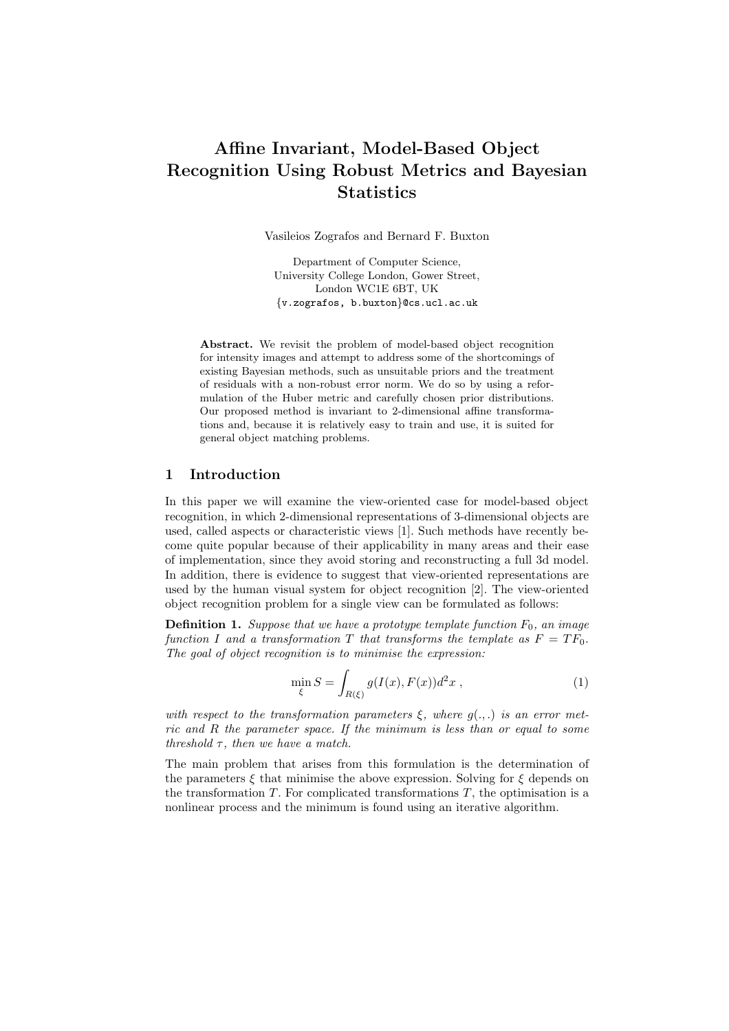# Affine Invariant, Model-Based Object Recognition Using Robust Metrics and Bayesian **Statistics**

Vasileios Zografos and Bernard F. Buxton

Department of Computer Science, University College London, Gower Street, London WC1E 6BT, UK {v.zografos, b.buxton}@cs.ucl.ac.uk

Abstract. We revisit the problem of model-based object recognition for intensity images and attempt to address some of the shortcomings of existing Bayesian methods, such as unsuitable priors and the treatment of residuals with a non-robust error norm. We do so by using a reformulation of the Huber metric and carefully chosen prior distributions. Our proposed method is invariant to 2-dimensional affine transformations and, because it is relatively easy to train and use, it is suited for general object matching problems.

## 1 Introduction

In this paper we will examine the view-oriented case for model-based object recognition, in which 2-dimensional representations of 3-dimensional objects are used, called aspects or characteristic views [1]. Such methods have recently become quite popular because of their applicability in many areas and their ease of implementation, since they avoid storing and reconstructing a full 3d model. In addition, there is evidence to suggest that view-oriented representations are used by the human visual system for object recognition [2]. The view-oriented object recognition problem for a single view can be formulated as follows:

**Definition 1.** *Suppose that we have a prototype template function*  $F_0$ *, an image function* I and a transformation T that transforms the template as  $F = TF_0$ . *The goal of object recognition is to minimise the expression:*

$$
\min_{\xi} S = \int_{R(\xi)} g(I(x), F(x))d^2x , \qquad (1)
$$

*with respect to the transformation parameters*  $\xi$ , where  $g(.,.)$  *is an error metric and* R *the parameter space. If the minimum is less than or equal to some threshold*  $\tau$ *, then we have a match.* 

The main problem that arises from this formulation is the determination of the parameters  $\xi$  that minimise the above expression. Solving for  $\xi$  depends on the transformation  $T$ . For complicated transformations  $T$ , the optimisation is a nonlinear process and the minimum is found using an iterative algorithm.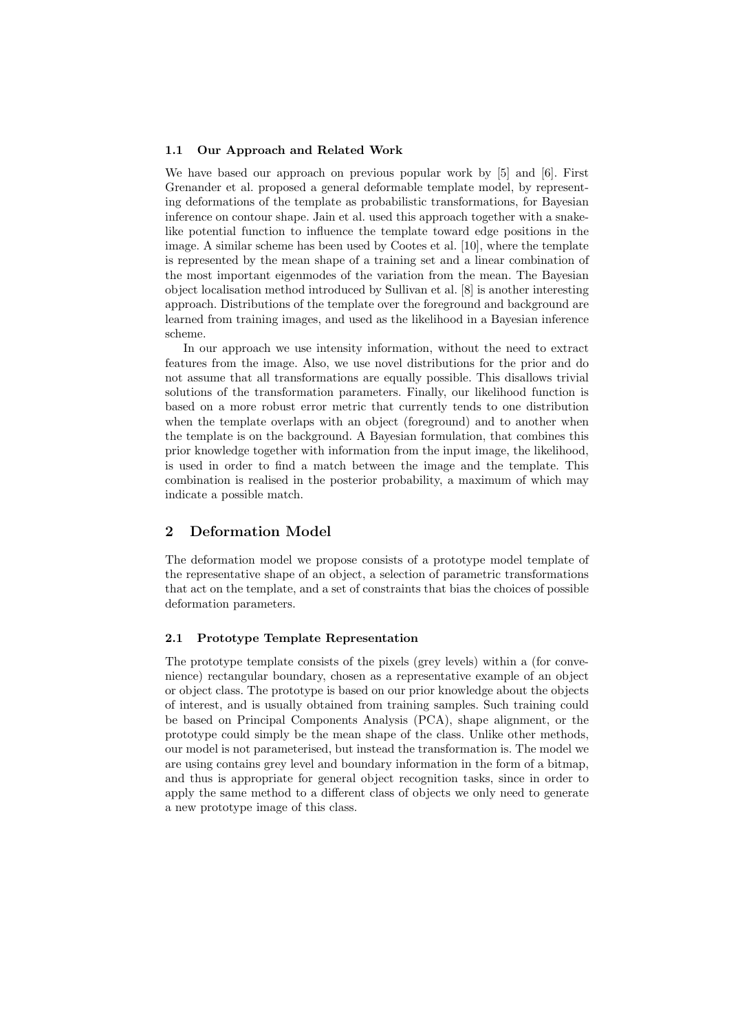### 1.1 Our Approach and Related Work

We have based our approach on previous popular work by [5] and [6]. First Grenander et al. proposed a general deformable template model, by representing deformations of the template as probabilistic transformations, for Bayesian inference on contour shape. Jain et al. used this approach together with a snakelike potential function to influence the template toward edge positions in the image. A similar scheme has been used by Cootes et al. [10], where the template is represented by the mean shape of a training set and a linear combination of the most important eigenmodes of the variation from the mean. The Bayesian object localisation method introduced by Sullivan et al. [8] is another interesting approach. Distributions of the template over the foreground and background are learned from training images, and used as the likelihood in a Bayesian inference scheme.

In our approach we use intensity information, without the need to extract features from the image. Also, we use novel distributions for the prior and do not assume that all transformations are equally possible. This disallows trivial solutions of the transformation parameters. Finally, our likelihood function is based on a more robust error metric that currently tends to one distribution when the template overlaps with an object (foreground) and to another when the template is on the background. A Bayesian formulation, that combines this prior knowledge together with information from the input image, the likelihood, is used in order to find a match between the image and the template. This combination is realised in the posterior probability, a maximum of which may indicate a possible match.

# 2 Deformation Model

The deformation model we propose consists of a prototype model template of the representative shape of an object, a selection of parametric transformations that act on the template, and a set of constraints that bias the choices of possible deformation parameters.

## 2.1 Prototype Template Representation

The prototype template consists of the pixels (grey levels) within a (for convenience) rectangular boundary, chosen as a representative example of an object or object class. The prototype is based on our prior knowledge about the objects of interest, and is usually obtained from training samples. Such training could be based on Principal Components Analysis (PCA), shape alignment, or the prototype could simply be the mean shape of the class. Unlike other methods, our model is not parameterised, but instead the transformation is. The model we are using contains grey level and boundary information in the form of a bitmap, and thus is appropriate for general object recognition tasks, since in order to apply the same method to a different class of objects we only need to generate a new prototype image of this class.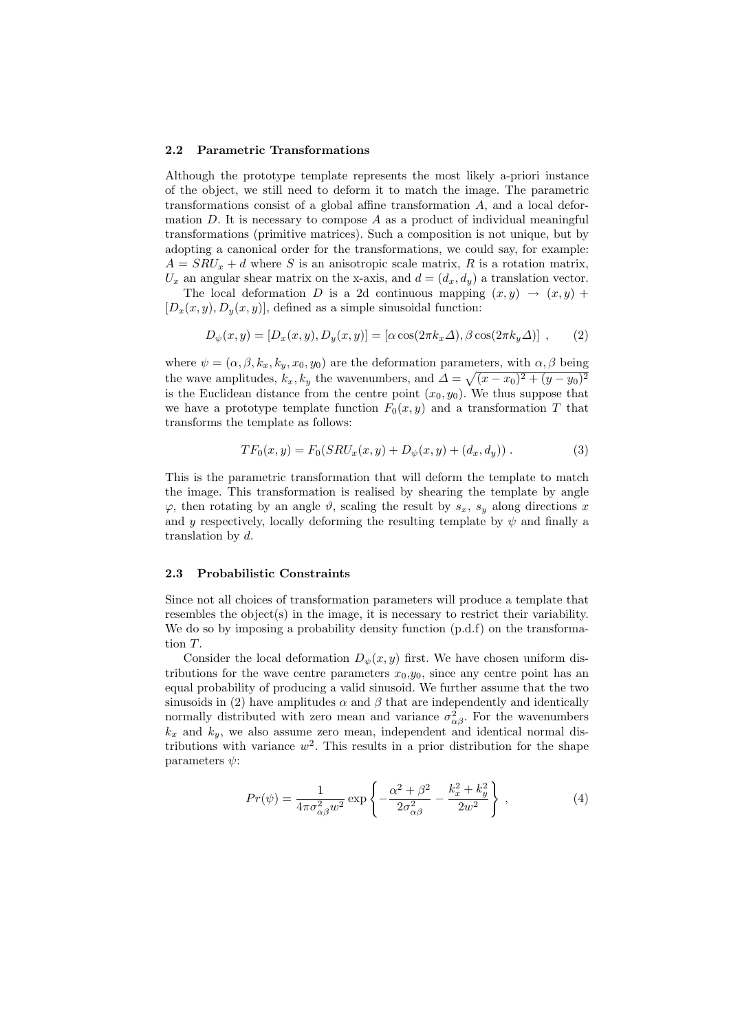#### 2.2 Parametric Transformations

Although the prototype template represents the most likely a-priori instance of the object, we still need to deform it to match the image. The parametric transformations consist of a global affine transformation A, and a local deformation  $D$ . It is necessary to compose  $A$  as a product of individual meaningful transformations (primitive matrices). Such a composition is not unique, but by adopting a canonical order for the transformations, we could say, for example:  $A = SRU_x + d$  where S is an anisotropic scale matrix, R is a rotation matrix,  $U_x$  an angular shear matrix on the x-axis, and  $d = (d_x, d_y)$  a translation vector.

The local deformation D is a 2d continuous mapping  $(x,y) \rightarrow (x,y)$  +  $[D_x(x,y),D_y(x,y)]$ , defined as a simple sinusoidal function:

$$
D_{\psi}(x,y) = [D_x(x,y), D_y(x,y)] = [\alpha \cos(2\pi k_x \Delta), \beta \cos(2\pi k_y \Delta)] ,
$$
 (2)

where  $\psi = (\alpha, \beta, k_x, k_y, x_0, y_0)$  are the deformation parameters, with  $\alpha, \beta$  being the wave amplitudes,  $k_x, k_y$  the wavenumbers, and  $\Delta = \sqrt{(x-x_0)^2 + (y-y_0)^2}$ is the Euclidean distance from the centre point  $(x_0, y_0)$ . We thus suppose that we have a prototype template function  $F_0(x,y)$  and a transformation T that transforms the template as follows:

$$
TF_0(x,y) = F_0(SRU_x(x,y) + D_{\psi}(x,y) + (d_x, d_y)).
$$
\n(3)

This is the parametric transformation that will deform the template to match the image. This transformation is realised by shearing the template by angle  $\varphi$ , then rotating by an angle  $\vartheta$ , scaling the result by  $s_x$ ,  $s_y$  along directions x and y respectively, locally deforming the resulting template by  $\psi$  and finally a translation by d.

#### 2.3 Probabilistic Constraints

Since not all choices of transformation parameters will produce a template that resembles the object(s) in the image, it is necessary to restrict their variability. We do so by imposing a probability density function  $(p.d.f)$  on the transformation T.

Consider the local deformation  $D_{\psi}(x,y)$  first. We have chosen uniform distributions for the wave centre parameters  $x_0, y_0$ , since any centre point has an equal probability of producing a valid sinusoid. We further assume that the two sinusoids in (2) have amplitudes  $\alpha$  and  $\beta$  that are independently and identically normally distributed with zero mean and variance  $\sigma_{\alpha\beta}^2$ . For the wavenumbers  $k_x$  and  $k_y$ , we also assume zero mean, independent and identical normal distributions with variance  $w^2$ . This results in a prior distribution for the shape parameters  $\psi$ :

$$
Pr(\psi) = \frac{1}{4\pi\sigma_{\alpha\beta}^2 w^2} \exp\left\{-\frac{\alpha^2 + \beta^2}{2\sigma_{\alpha\beta}^2} - \frac{k_x^2 + k_y^2}{2w^2}\right\},
$$
 (4)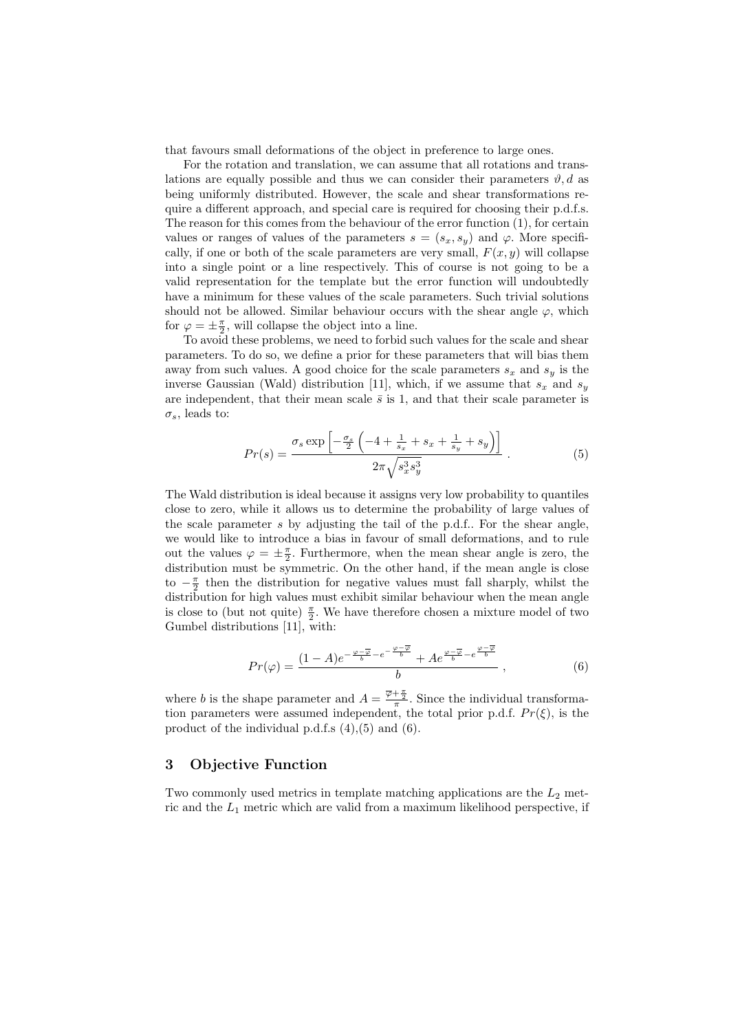that favours small deformations of the object in preference to large ones.

For the rotation and translation, we can assume that all rotations and translations are equally possible and thus we can consider their parameters  $\vartheta, d$  as being uniformly distributed. However, the scale and shear transformations require a different approach, and special care is required for choosing their p.d.f.s. The reason for this comes from the behaviour of the error function (1), for certain values or ranges of values of the parameters  $s = (s_x, s_y)$  and  $\varphi$ . More specifically, if one or both of the scale parameters are very small,  $F(x, y)$  will collapse into a single point or a line respectively. This of course is not going to be a valid representation for the template but the error function will undoubtedly have a minimum for these values of the scale parameters. Such trivial solutions should not be allowed. Similar behaviour occurs with the shear angle  $\varphi$ , which for  $\varphi = \pm \frac{\pi}{2}$ , will collapse the object into a line.

To avoid these problems, we need to forbid such values for the scale and shear parameters. To do so, we define a prior for these parameters that will bias them away from such values. A good choice for the scale parameters  $s_x$  and  $s_y$  is the inverse Gaussian (Wald) distribution [11], which, if we assume that  $s_x$  and  $s_y$ are independent, that their mean scale  $\bar{s}$  is 1, and that their scale parameter is  $\sigma_s$ , leads to:

$$
Pr(s) = \frac{\sigma_s \exp\left[-\frac{\sigma_s}{2}\left(-4 + \frac{1}{s_x} + s_x + \frac{1}{s_y} + s_y\right)\right]}{2\pi\sqrt{s_x^3 s_y^3}}.
$$
\n
$$
(5)
$$

The Wald distribution is ideal because it assigns very low probability to quantiles close to zero, while it allows us to determine the probability of large values of the scale parameter s by adjusting the tail of the p.d.f.. For the shear angle, we would like to introduce a bias in favour of small deformations, and to rule out the values  $\varphi = \pm \frac{\pi}{2}$ . Furthermore, when the mean shear angle is zero, the distribution must be symmetric. On the other hand, if the mean angle is close to  $-\frac{\pi}{2}$  then the distribution for negative values must fall sharply, whilst the distribution for high values must exhibit similar behaviour when the mean angle is close to (but not quite)  $\frac{\pi}{2}$ . We have therefore chosen a mixture model of two Gumbel distributions [11], with:

$$
Pr(\varphi) = \frac{(1-A)e^{-\frac{\varphi - \overline{\varphi}}{b}} - e^{-\frac{\varphi - \overline{\varphi}}{b}} + Ae^{\frac{\varphi - \overline{\varphi}}{b}} - e^{\frac{\varphi - \overline{\varphi}}{b}}}{b},
$$
(6)

where b is the shape parameter and  $A = \frac{\overline{\varphi} + \frac{\pi}{2}}{\pi}$ . Since the individual transformation parameters were assumed independent, the total prior p.d.f.  $Pr(\xi)$ , is the product of the individual p.d.f.s  $(4)$ , $(5)$  and  $(6)$ .

## 3 Objective Function

Two commonly used metrics in template matching applications are the  $L_2$  metric and the  $L_1$  metric which are valid from a maximum likelihood perspective, if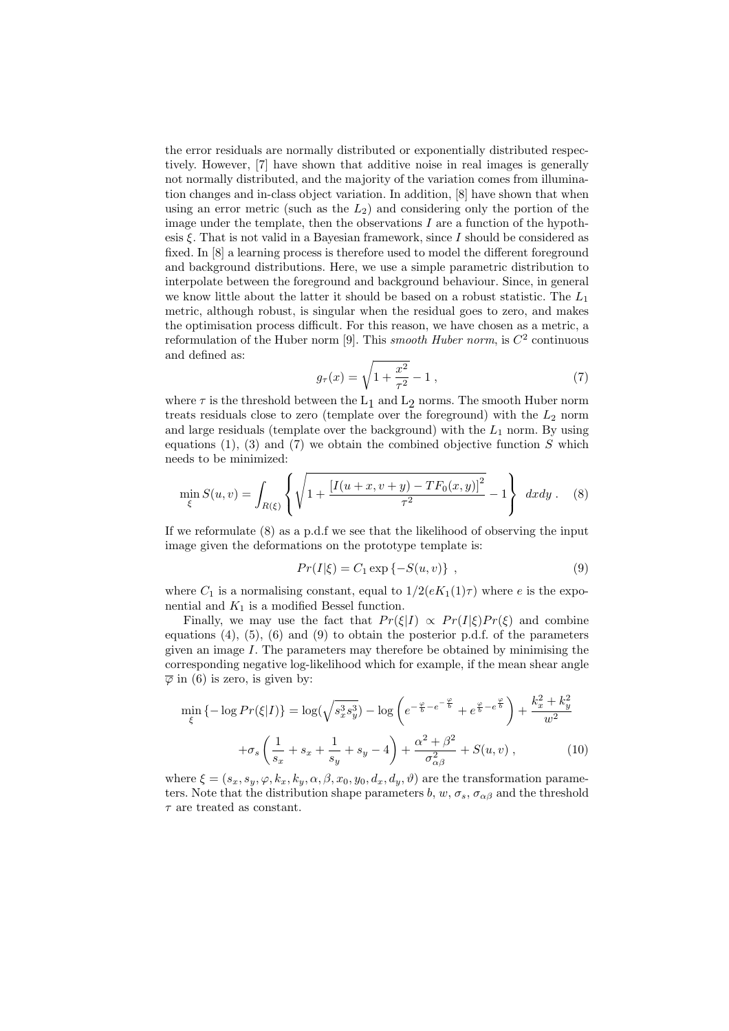the error residuals are normally distributed or exponentially distributed respectively. However, [7] have shown that additive noise in real images is generally not normally distributed, and the majority of the variation comes from illumination changes and in-class object variation. In addition, [8] have shown that when using an error metric (such as the  $L_2$ ) and considering only the portion of the image under the template, then the observations  $I$  are a function of the hypothesis  $\xi$ . That is not valid in a Bayesian framework, since I should be considered as fixed. In [8] a learning process is therefore used to model the different foreground and background distributions. Here, we use a simple parametric distribution to interpolate between the foreground and background behaviour. Since, in general we know little about the latter it should be based on a robust statistic. The  $L_1$ metric, although robust, is singular when the residual goes to zero, and makes the optimisation process difficult. For this reason, we have chosen as a metric, a reformulation of the Huber norm [9]. This *smooth Huber norm*, is  $C^2$  continuous and defined as:

$$
g_{\tau}(x) = \sqrt{1 + \frac{x^2}{\tau^2}} - 1 \tag{7}
$$

where  $\tau$  is the threshold between the  $\text{L}_1$  and  $\text{L}_2$  norms. The smooth Huber norm treats residuals close to zero (template over the foreground) with the  $L_2$  norm and large residuals (template over the background) with the  $L_1$  norm. By using equations  $(1)$ ,  $(3)$  and  $(7)$  we obtain the combined objective function S which needs to be minimized:

$$
\min_{\xi} S(u, v) = \int_{R(\xi)} \left\{ \sqrt{1 + \frac{\left[I(u + x, v + y) - TF_0(x, y)\right]^2}{\tau^2}} - 1 \right\} dx dy. \quad (8)
$$

If we reformulate (8) as a p.d.f we see that the likelihood of observing the input image given the deformations on the prototype template is:

$$
Pr(I|\xi) = C_1 \exp\{-S(u, v)\}, \qquad (9)
$$

where  $C_1$  is a normalising constant, equal to  $1/2(eK_1(1)\tau)$  where e is the exponential and  $K_1$  is a modified Bessel function.

Finally, we may use the fact that  $Pr(\xi|I) \propto Pr(I|\xi)Pr(\xi)$  and combine equations  $(4)$ ,  $(5)$ ,  $(6)$  and  $(9)$  to obtain the posterior p.d.f. of the parameters given an image  $I$ . The parameters may therefore be obtained by minimising the corresponding negative log-likelihood which for example, if the mean shear angle  $\overline{\varphi}$  in (6) is zero, is given by:

$$
\min_{\xi} \left\{ -\log \Pr(\xi|I) \right\} = \log \left( \sqrt{s_x^3 s_y^3} \right) - \log \left( e^{-\frac{\varphi}{b} - e^{-\frac{\varphi}{b}}} + e^{\frac{\varphi}{b} - e^{-\frac{\varphi}{b}}} \right) + \frac{k_x^2 + k_y^2}{w^2} + \sigma_s \left( \frac{1}{s_x} + s_x + \frac{1}{s_y} + s_y - 4 \right) + \frac{\alpha^2 + \beta^2}{\sigma_{\alpha\beta}^2} + S(u, v) ,\tag{10}
$$

where  $\xi = (s_x, s_y, \varphi, k_x, k_y, \alpha, \beta, x_0, y_0, d_x, d_y, \vartheta)$  are the transformation parameters. Note that the distribution shape parameters b,  $w, \sigma_s, \sigma_{\alpha\beta}$  and the threshold  $\tau$  are treated as constant.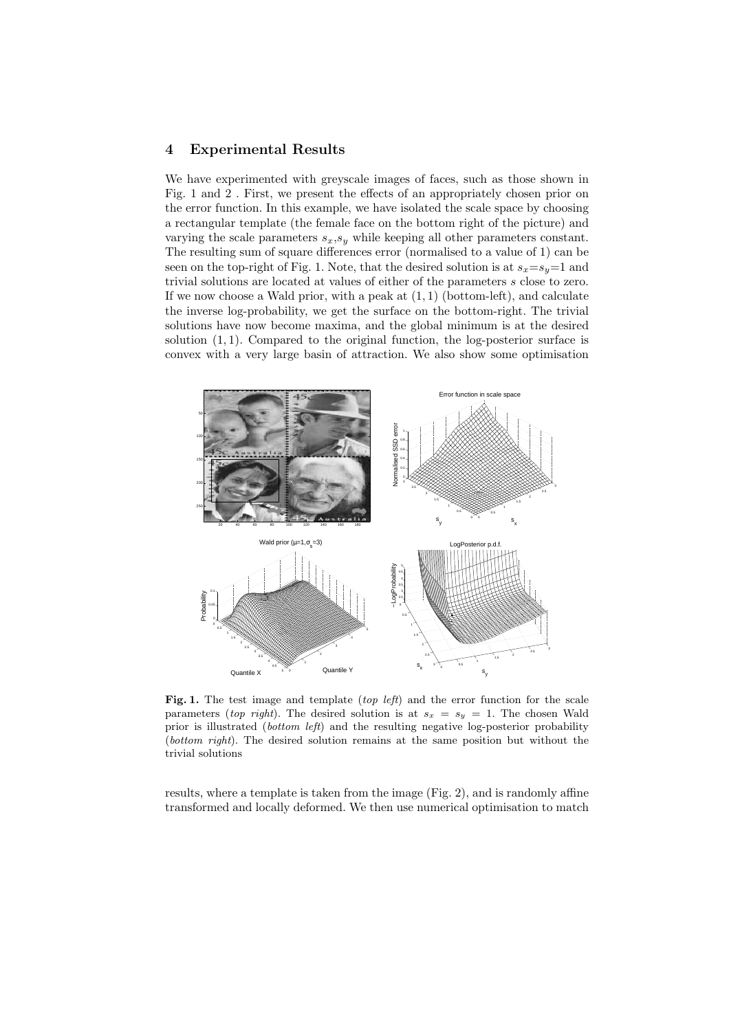## 4 Experimental Results

We have experimented with greyscale images of faces, such as those shown in Fig. 1 and 2 . First, we present the effects of an appropriately chosen prior on the error function. In this example, we have isolated the scale space by choosing a rectangular template (the female face on the bottom right of the picture) and varying the scale parameters  $s_x, s_y$  while keeping all other parameters constant. The resulting sum of square differences error (normalised to a value of 1) can be seen on the top-right of Fig. 1. Note, that the desired solution is at  $s_x=s_y=1$  and trivial solutions are located at values of either of the parameters s close to zero. If we now choose a Wald prior, with a peak at  $(1, 1)$  (bottom-left), and calculate the inverse log-probability, we get the surface on the bottom-right. The trivial solutions have now become maxima, and the global minimum is at the desired solution  $(1, 1)$ . Compared to the original function, the log-posterior surface is convex with a very large basin of attraction. We also show some optimisation



Fig. 1. The test image and template (top left) and the error function for the scale parameters (top right). The desired solution is at  $s_x = s_y = 1$ . The chosen Wald prior is illustrated (*bottom left*) and the resulting negative log-posterior probability (bottom right). The desired solution remains at the same position but without the trivial solutions

results, where a template is taken from the image (Fig. 2), and is randomly affine transformed and locally deformed. We then use numerical optimisation to match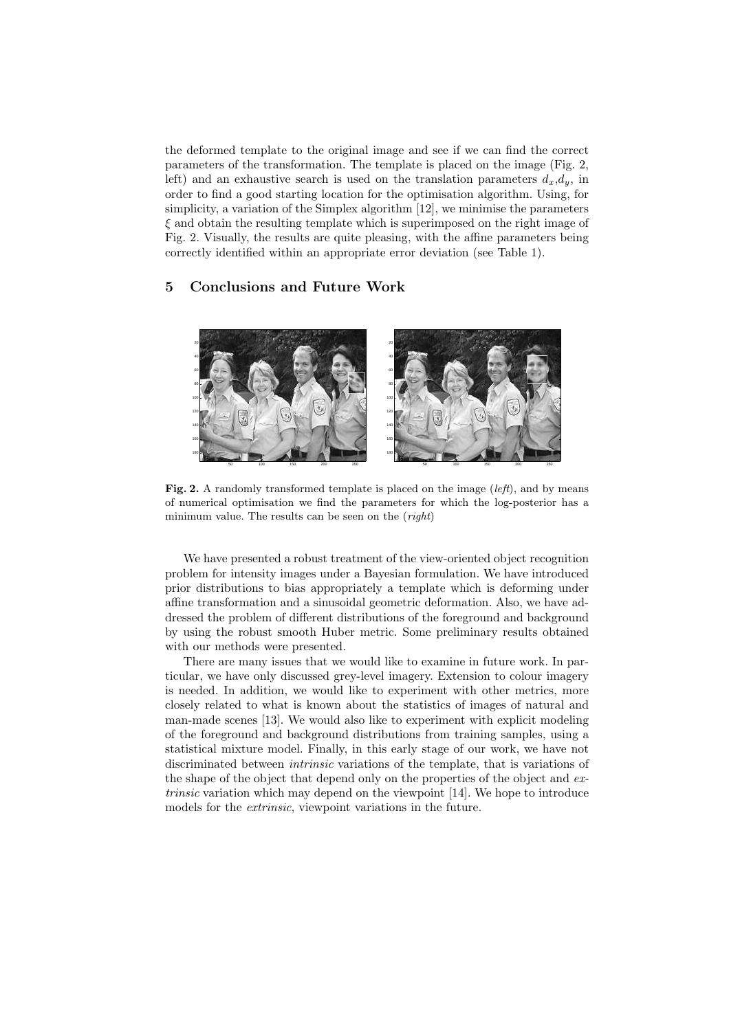the deformed template to the original image and see if we can find the correct parameters of the transformation. The template is placed on the image (Fig. 2, left) and an exhaustive search is used on the translation parameters  $d_x, d_y$ , in order to find a good starting location for the optimisation algorithm. Using, for simplicity, a variation of the Simplex algorithm [12], we minimise the parameters  $\xi$  and obtain the resulting template which is superimposed on the right image of Fig. 2. Visually, the results are quite pleasing, with the affine parameters being correctly identified within an appropriate error deviation (see Table 1).

# 5 Conclusions and Future Work



Fig. 2. A randomly transformed template is placed on the image  $(left)$ , and by means of numerical optimisation we find the parameters for which the log-posterior has a minimum value. The results can be seen on the  $(right)$ 

We have presented a robust treatment of the view-oriented object recognition problem for intensity images under a Bayesian formulation. We have introduced prior distributions to bias appropriately a template which is deforming under affine transformation and a sinusoidal geometric deformation. Also, we have addressed the problem of different distributions of the foreground and background by using the robust smooth Huber metric. Some preliminary results obtained with our methods were presented.

There are many issues that we would like to examine in future work. In particular, we have only discussed grey-level imagery. Extension to colour imagery is needed. In addition, we would like to experiment with other metrics, more closely related to what is known about the statistics of images of natural and man-made scenes [13]. We would also like to experiment with explicit modeling of the foreground and background distributions from training samples, using a statistical mixture model. Finally, in this early stage of our work, we have not discriminated between *intrinsic* variations of the template, that is variations of the shape of the object that depend only on the properties of the object and *extrinsic* variation which may depend on the viewpoint [14]. We hope to introduce models for the *extrinsic*, viewpoint variations in the future.